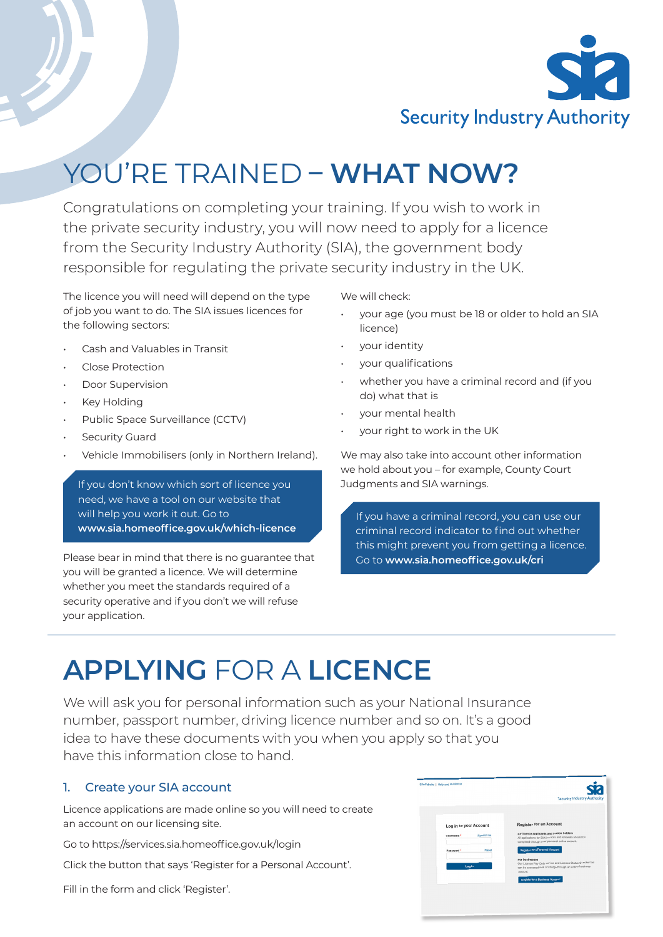

# YOU'RE TRAINED **– WHAT NOW?**

Congratulations on completing your training. If you wish to work in the private security industry, you will now need to apply for a licence from the Security Industry Authority (SIA), the government body responsible for regulating the private security industry in the UK.

The licence you will need will depend on the type of job you want to do. The SIA issues licences for the following sectors:

- Cash and Valuables in Transit
- Close Protection
- Door Supervision
- **Key Holding**
- Public Space Surveillance (CCTV)
- Security Guard
- Vehicle Immobilisers (only in Northern Ireland).

If you don't know which sort of licence you need, we have a tool on our website that will help you work it out. Go to **www.sia.homeoffice.gov.uk/which-licence**

Please bear in mind that there is no guarantee that you will be granted a licence. We will determine whether you meet the standards required of a security operative and if you don't we will refuse your application.

We will check:

- your age (you must be 18 or older to hold an SIA licence)
- your identity
- your qualifications
- whether you have a criminal record and (if you do) what that is
- your mental health
- your right to work in the UK

We may also take into account other information we hold about you – for example, County Court Judgments and SIA warnings.

If you have a criminal record, you can use our criminal record indicator to find out whether this might prevent you from getting a licence. Go to **www.sia.homeoffice.gov.uk/cri**

## **APPLYING** FOR A **LICENCE**

We will ask you for personal information such as your National Insurance number, passport number, driving licence number and so on. It's a good idea to have these documents with you when you apply so that you have this information close to hand.

### 1. Create your SIA account

Licence applications are made online so you will need to create an account on our licensing site.

Go to https://services.sia.homeoffice.gov.uk/login

Click the button that says 'Register for a Personal Account'.

Fill in the form and click 'Register'.